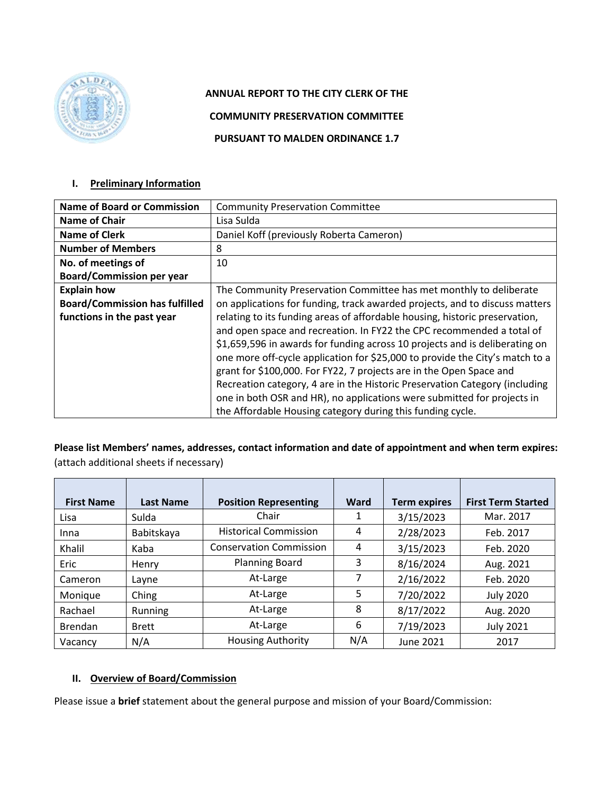

# **ANNUAL REPORT TO THE CITY CLERK OF THE**

**COMMUNITY PRESERVATION COMMITTEE**

**PURSUANT TO MALDEN ORDINANCE 1.7**

#### **I. Preliminary Information**

| <b>Name of Board or Commission</b>    | <b>Community Preservation Committee</b>                                      |
|---------------------------------------|------------------------------------------------------------------------------|
| <b>Name of Chair</b>                  | Lisa Sulda                                                                   |
| <b>Name of Clerk</b>                  | Daniel Koff (previously Roberta Cameron)                                     |
| <b>Number of Members</b>              | 8                                                                            |
| No. of meetings of                    | 10                                                                           |
| <b>Board/Commission per year</b>      |                                                                              |
| <b>Explain how</b>                    | The Community Preservation Committee has met monthly to deliberate           |
| <b>Board/Commission has fulfilled</b> | on applications for funding, track awarded projects, and to discuss matters  |
| functions in the past year            | relating to its funding areas of affordable housing, historic preservation,  |
|                                       | and open space and recreation. In FY22 the CPC recommended a total of        |
|                                       | \$1,659,596 in awards for funding across 10 projects and is deliberating on  |
|                                       | one more off-cycle application for \$25,000 to provide the City's match to a |
|                                       | grant for \$100,000. For FY22, 7 projects are in the Open Space and          |
|                                       | Recreation category, 4 are in the Historic Preservation Category (including  |
|                                       | one in both OSR and HR), no applications were submitted for projects in      |
|                                       | the Affordable Housing category during this funding cycle.                   |

**Please list Members' names, addresses, contact information and date of appointment and when term expires:**  (attach additional sheets if necessary)

| <b>First Name</b> | <b>Last Name</b> | <b>Position Representing</b>   | <b>Ward</b> | <b>Term expires</b> | <b>First Term Started</b> |
|-------------------|------------------|--------------------------------|-------------|---------------------|---------------------------|
| Lisa              | Sulda            | Chair                          | 1           | 3/15/2023           | Mar. 2017                 |
| Inna              | Babitskaya       | <b>Historical Commission</b>   | 4           | 2/28/2023           | Feb. 2017                 |
| Khalil            | Kaba             | <b>Conservation Commission</b> | 4           | 3/15/2023           | Feb. 2020                 |
| <b>Eric</b>       | Henry            | <b>Planning Board</b>          | 3           | 8/16/2024           | Aug. 2021                 |
| Cameron           | Layne            | At-Large                       | 7           | 2/16/2022           | Feb. 2020                 |
| Monique           | Ching            | At-Large                       | 5           | 7/20/2022           | <b>July 2020</b>          |
| Rachael           | Running          | At-Large                       | 8           | 8/17/2022           | Aug. 2020                 |
| <b>Brendan</b>    | <b>Brett</b>     | At-Large                       | 6           | 7/19/2023           | <b>July 2021</b>          |
| Vacancy           | N/A              | <b>Housing Authority</b>       | N/A         | June 2021           | 2017                      |

### **II. Overview of Board/Commission**

Please issue a **brief** statement about the general purpose and mission of your Board/Commission: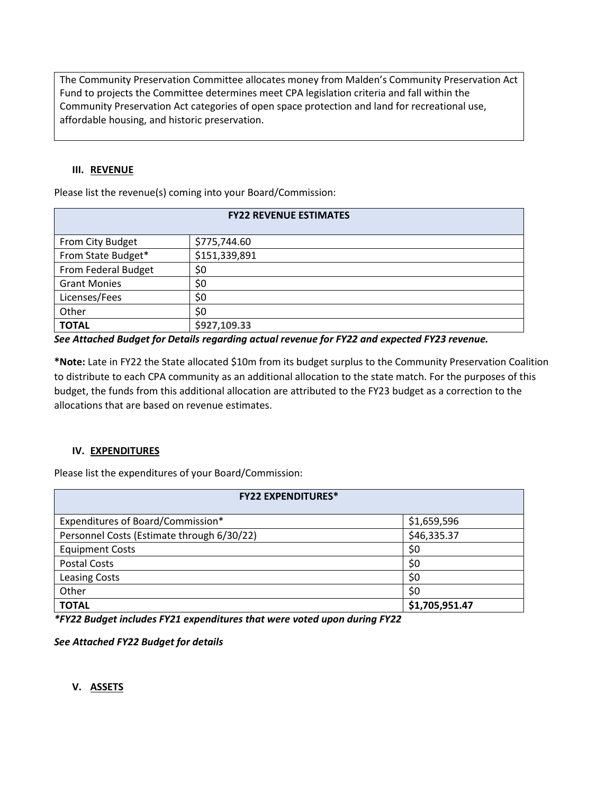The Community Preservation Committee allocates money from Malden's Community Preservation Act Fund to projects the Committee determines meet CPA legislation criteria and fall within the Community Preservation Act categories of open space protection and land for recreational use, affordable housing, and historic preservation.

#### **III. REVENUE**

Please list the revenue(s) coming into your Board/Commission:

| <b>FY22 REVENUE ESTIMATES</b> |               |  |  |  |
|-------------------------------|---------------|--|--|--|
|                               |               |  |  |  |
| From City Budget              | \$775,744.60  |  |  |  |
| From State Budget*            | \$151,339,891 |  |  |  |
| From Federal Budget           | \$0           |  |  |  |
| <b>Grant Monies</b>           | \$0           |  |  |  |
| Licenses/Fees                 | \$0           |  |  |  |
| Other                         | \$0           |  |  |  |
| <b>TOTAL</b>                  | \$927,109.33  |  |  |  |

*See Attached Budget for Details regarding actual revenue for FY22 and expected FY23 revenue.*

**\*Note:** Late in FY22 the State allocated \$10m from its budget surplus to the Community Preservation Coalition to distribute to each CPA community as an additional allocation to the state match. For the purposes of this budget, the funds from this additional allocation are attributed to the FY23 budget as a correction to the allocations that are based on revenue estimates.

#### **IV. EXPENDITURES**

Please list the expenditures of your Board/Commission:

| <b>FY22 EXPENDITURES*</b>                  |                |  |  |  |
|--------------------------------------------|----------------|--|--|--|
| Expenditures of Board/Commission*          | \$1,659,596    |  |  |  |
| Personnel Costs (Estimate through 6/30/22) | \$46,335.37    |  |  |  |
| <b>Equipment Costs</b>                     | \$0            |  |  |  |
| <b>Postal Costs</b>                        | \$0            |  |  |  |
| <b>Leasing Costs</b>                       | \$0            |  |  |  |
| Other                                      | \$0            |  |  |  |
| <b>TOTAL</b>                               | \$1,705,951.47 |  |  |  |

*\*FY22 Budget includes FY21 expenditures that were voted upon during FY22*

*See Attached FY22 Budget for details*

**V. ASSETS**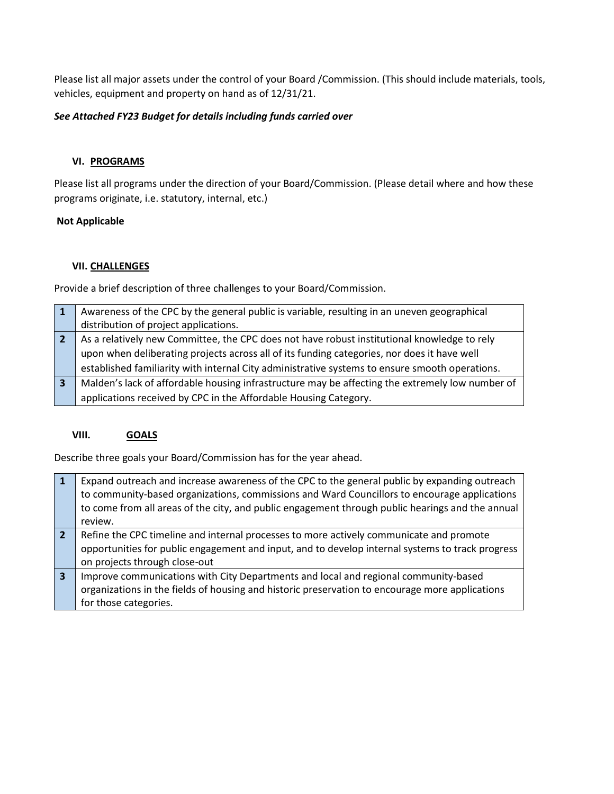Please list all major assets under the control of your Board /Commission. (This should include materials, tools, vehicles, equipment and property on hand as of 12/31/21.

### *See Attached FY23 Budget for details including funds carried over*

#### **VI. PROGRAMS**

Please list all programs under the direction of your Board/Commission. (Please detail where and how these programs originate, i.e. statutory, internal, etc.)

#### **Not Applicable**

#### **VII. CHALLENGES**

Provide a brief description of three challenges to your Board/Commission.

|   | Awareness of the CPC by the general public is variable, resulting in an uneven geographical     |
|---|-------------------------------------------------------------------------------------------------|
|   | distribution of project applications.                                                           |
|   | As a relatively new Committee, the CPC does not have robust institutional knowledge to rely     |
|   | upon when deliberating projects across all of its funding categories, nor does it have well     |
|   | established familiarity with internal City administrative systems to ensure smooth operations.  |
| 3 | Malden's lack of affordable housing infrastructure may be affecting the extremely low number of |
|   | applications received by CPC in the Affordable Housing Category.                                |

#### **VIII. GOALS**

Describe three goals your Board/Commission has for the year ahead.

|                | Expand outreach and increase awareness of the CPC to the general public by expanding outreach<br>to community-based organizations, commissions and Ward Councillors to encourage applications<br>to come from all areas of the city, and public engagement through public hearings and the annual |
|----------------|---------------------------------------------------------------------------------------------------------------------------------------------------------------------------------------------------------------------------------------------------------------------------------------------------|
|                | review.                                                                                                                                                                                                                                                                                           |
|                |                                                                                                                                                                                                                                                                                                   |
| $\overline{2}$ | Refine the CPC timeline and internal processes to more actively communicate and promote                                                                                                                                                                                                           |
|                |                                                                                                                                                                                                                                                                                                   |
|                | opportunities for public engagement and input, and to develop internal systems to track progress                                                                                                                                                                                                  |
|                | on projects through close-out                                                                                                                                                                                                                                                                     |
|                |                                                                                                                                                                                                                                                                                                   |
| 3              | Improve communications with City Departments and local and regional community-based                                                                                                                                                                                                               |
|                | organizations in the fields of housing and historic preservation to encourage more applications                                                                                                                                                                                                   |
|                |                                                                                                                                                                                                                                                                                                   |
|                | for those categories.                                                                                                                                                                                                                                                                             |
|                |                                                                                                                                                                                                                                                                                                   |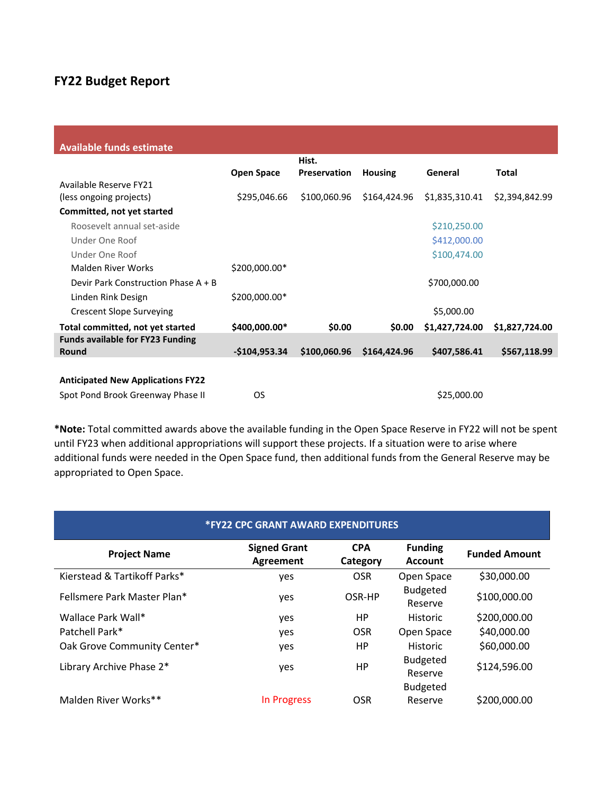# **FY22 Budget Report**

| <b>Available funds estimate</b>          |                   |                     |                |                |                |
|------------------------------------------|-------------------|---------------------|----------------|----------------|----------------|
|                                          |                   | Hist.               |                |                |                |
|                                          | <b>Open Space</b> | <b>Preservation</b> | <b>Housing</b> | General        | Total          |
| Available Reserve FY21                   |                   |                     |                |                |                |
| (less ongoing projects)                  | \$295,046.66      | \$100,060.96        | \$164,424.96   | \$1,835,310.41 | \$2,394,842.99 |
| Committed, not yet started               |                   |                     |                |                |                |
| Roosevelt annual set-aside               |                   |                     |                | \$210,250.00   |                |
| Under One Roof                           |                   |                     |                | \$412,000.00   |                |
| Under One Roof                           |                   |                     |                | \$100,474.00   |                |
| Malden River Works                       | \$200,000.00*     |                     |                |                |                |
| Devir Park Construction Phase A + B      |                   |                     |                | \$700,000.00   |                |
| Linden Rink Design                       | \$200,000.00*     |                     |                |                |                |
| <b>Crescent Slope Surveying</b>          |                   |                     |                | \$5,000.00     |                |
| Total committed, not yet started         | \$400,000.00*     | \$0.00              | \$0.00         | \$1,427,724.00 | \$1,827,724.00 |
| <b>Funds available for FY23 Funding</b>  |                   |                     |                |                |                |
| Round                                    | $-$104,953.34$    | \$100,060.96        | \$164,424.96   | \$407,586.41   | \$567,118.99   |
|                                          |                   |                     |                |                |                |
| <b>Anticipated New Applications FY22</b> |                   |                     |                |                |                |
| Spot Pond Brook Greenway Phase II        | OS                |                     |                | \$25,000.00    |                |

**\*Note:** Total committed awards above the available funding in the Open Space Reserve in FY22 will not be spent until FY23 when additional appropriations will support these projects. If a situation were to arise where additional funds were needed in the Open Space fund, then additional funds from the General Reserve may be appropriated to Open Space.

| <b>*FY22 CPC GRANT AWARD EXPENDITURES</b> |                                         |                        |                                               |                      |  |  |
|-------------------------------------------|-----------------------------------------|------------------------|-----------------------------------------------|----------------------|--|--|
| <b>Project Name</b>                       | <b>Signed Grant</b><br><b>Agreement</b> | <b>CPA</b><br>Category | <b>Funding</b><br><b>Account</b>              | <b>Funded Amount</b> |  |  |
| Kierstead & Tartikoff Parks*              | yes                                     | <b>OSR</b>             | Open Space                                    | \$30,000.00          |  |  |
| Fellsmere Park Master Plan*               | yes                                     | OSR-HP                 | <b>Budgeted</b><br>Reserve                    | \$100,000.00         |  |  |
| Wallace Park Wall*                        | yes                                     | HP.                    | <b>Historic</b>                               | \$200,000.00         |  |  |
| Patchell Park*                            | yes                                     | <b>OSR</b>             | Open Space                                    | \$40,000.00          |  |  |
| Oak Grove Community Center*               | yes                                     | HP.                    | <b>Historic</b>                               | \$60,000.00          |  |  |
| Library Archive Phase 2*                  | yes                                     | <b>HP</b>              | <b>Budgeted</b><br>Reserve<br><b>Budgeted</b> | \$124,596.00         |  |  |
| Malden River Works**                      | In Progress                             | <b>OSR</b>             | Reserve                                       | \$200,000.00         |  |  |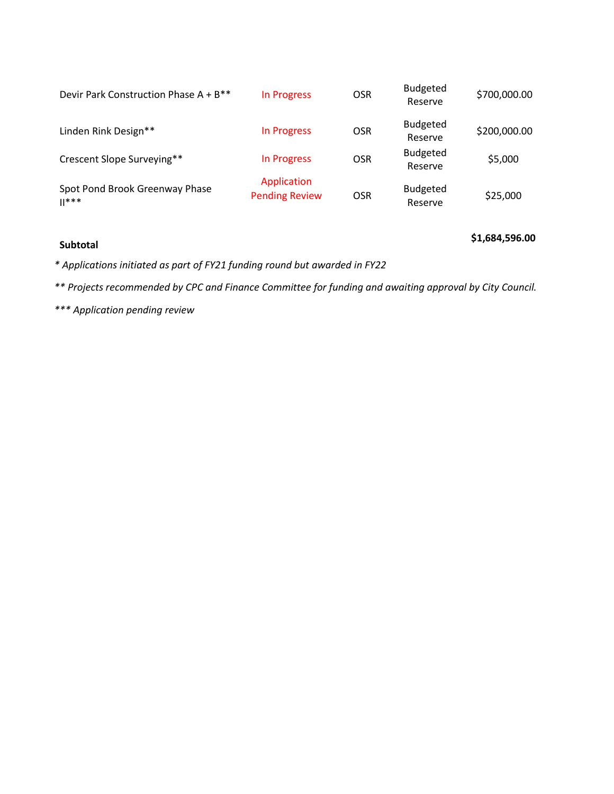| Devir Park Construction Phase A + B**     | In Progress                          | <b>OSR</b> | <b>Budgeted</b><br>Reserve | \$700,000.00 |
|-------------------------------------------|--------------------------------------|------------|----------------------------|--------------|
| Linden Rink Design**                      | In Progress                          | <b>OSR</b> | <b>Budgeted</b><br>Reserve | \$200,000.00 |
| Crescent Slope Surveying**                | In Progress                          | <b>OSR</b> | <b>Budgeted</b><br>Reserve | \$5,000      |
| Spot Pond Brook Greenway Phase<br>$  ***$ | Application<br><b>Pending Review</b> | <b>OSR</b> | <b>Budgeted</b><br>Reserve | \$25,000     |

# **Subtotal \$1,684,596.00**

*\* Applications initiated as part of FY21 funding round but awarded in FY22*

*\*\* Projects recommended by CPC and Finance Committee for funding and awaiting approval by City Council.*

*\*\*\* Application pending review*